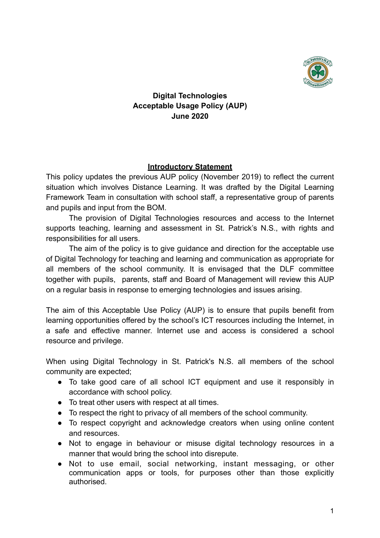

**Digital Technologies Acceptable Usage Policy (AUP) June 2020**

## **Introductory Statement**

This policy updates the previous AUP policy (November 2019) to reflect the current situation which involves Distance Learning. It was drafted by the Digital Learning Framework Team in consultation with school staff, a representative group of parents and pupils and input from the BOM.

The provision of Digital Technologies resources and access to the Internet supports teaching, learning and assessment in St. Patrick's N.S., with rights and responsibilities for all users.

The aim of the policy is to give guidance and direction for the acceptable use of Digital Technology for teaching and learning and communication as appropriate for all members of the school community. It is envisaged that the DLF committee together with pupils, parents, staff and Board of Management will review this AUP on a regular basis in response to emerging technologies and issues arising.

The aim of this Acceptable Use Policy (AUP) is to ensure that pupils benefit from learning opportunities offered by the school's ICT resources including the Internet, in a safe and effective manner. Internet use and access is considered a school resource and privilege.

When using Digital Technology in St. Patrick's N.S. all members of the school community are expected;

- To take good care of all school ICT equipment and use it responsibly in accordance with school policy.
- To treat other users with respect at all times.
- To respect the right to privacy of all members of the school community.
- To respect copyright and acknowledge creators when using online content and resources.
- Not to engage in behaviour or misuse digital technology resources in a manner that would bring the school into disrepute.
- Not to use email, social networking, instant messaging, or other communication apps or tools, for purposes other than those explicitly authorised.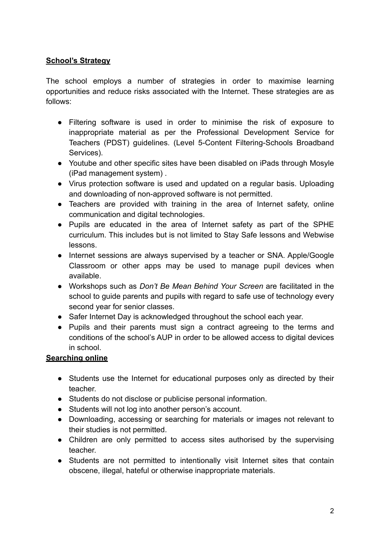## **School's Strategy**

The school employs a number of strategies in order to maximise learning opportunities and reduce risks associated with the Internet. These strategies are as follows:

- Filtering software is used in order to minimise the risk of exposure to inappropriate material as per the Professional Development Service for Teachers (PDST) guidelines. (Level 5-Content Filtering-Schools Broadband Services).
- Youtube and other specific sites have been disabled on iPads through Mosyle (iPad management system) .
- Virus protection software is used and updated on a regular basis. Uploading and downloading of non-approved software is not permitted.
- Teachers are provided with training in the area of Internet safety, online communication and digital technologies.
- Pupils are educated in the area of Internet safety as part of the SPHE curriculum. This includes but is not limited to Stay Safe lessons and Webwise lessons.
- Internet sessions are always supervised by a teacher or SNA. Apple/Google Classroom or other apps may be used to manage pupil devices when available.
- Workshops such as *Don't Be Mean Behind Your Screen* are facilitated in the school to guide parents and pupils with regard to safe use of technology every second year for senior classes.
- Safer Internet Day is acknowledged throughout the school each year.
- Pupils and their parents must sign a contract agreeing to the terms and conditions of the school's AUP in order to be allowed access to digital devices in school.

# **Searching online**

- Students use the Internet for educational purposes only as directed by their teacher.
- Students do not disclose or publicise personal information.
- Students will not log into another person's account.
- Downloading, accessing or searching for materials or images not relevant to their studies is not permitted.
- Children are only permitted to access sites authorised by the supervising teacher.
- Students are not permitted to intentionally visit Internet sites that contain obscene, illegal, hateful or otherwise inappropriate materials.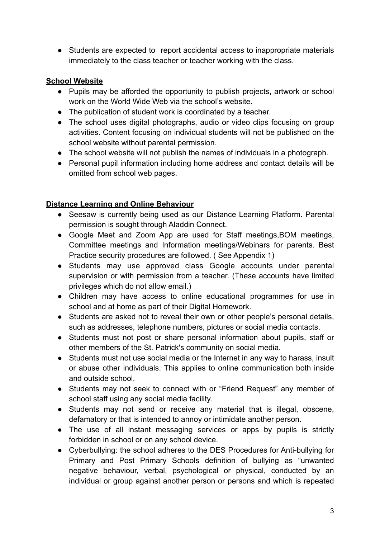● Students are expected to report accidental access to inappropriate materials immediately to the class teacher or teacher working with the class.

## **School Website**

- Pupils may be afforded the opportunity to publish projects, artwork or school work on the World Wide Web via the school's website.
- The publication of student work is coordinated by a teacher.
- The school uses digital photographs, audio or video clips focusing on group activities. Content focusing on individual students will not be published on the school website without parental permission.
- The school website will not publish the names of individuals in a photograph.
- Personal pupil information including home address and contact details will be omitted from school web pages.

## **Distance Learning and Online Behaviour**

- Seesaw is currently being used as our Distance Learning Platform. Parental permission is sought through Aladdin Connect.
- Google Meet and Zoom App are used for Staff meetings, BOM meetings, Committee meetings and Information meetings/Webinars for parents. Best Practice security procedures are followed. ( See Appendix 1)
- Students may use approved class Google accounts under parental supervision or with permission from a teacher. (These accounts have limited privileges which do not allow email.)
- Children may have access to online educational programmes for use in school and at home as part of their Digital Homework.
- Students are asked not to reveal their own or other people's personal details, such as addresses, telephone numbers, pictures or social media contacts.
- Students must not post or share personal information about pupils, staff or other members of the St. Patrick's community on social media.
- Students must not use social media or the Internet in any way to harass, insult or abuse other individuals. This applies to online communication both inside and outside school.
- Students may not seek to connect with or "Friend Request" any member of school staff using any social media facility.
- Students may not send or receive any material that is illegal, obscene, defamatory or that is intended to annoy or intimidate another person.
- The use of all instant messaging services or apps by pupils is strictly forbidden in school or on any school device.
- Cyberbullying: the school adheres to the DES Procedures for Anti-bullying for Primary and Post Primary Schools definition of bullying as "unwanted negative behaviour, verbal, psychological or physical, conducted by an individual or group against another person or persons and which is repeated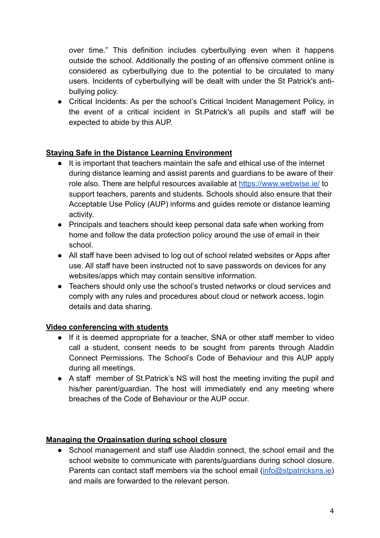over time." This definition includes cyberbullying even when it happens outside the school. Additionally the posting of an offensive comment online is considered as cyberbullying due to the potential to be circulated to many users. Incidents of cyberbullying will be dealt with under the St Patrick's antibullying policy.

● Critical Incidents: As per the school's Critical Incident Management Policy, in the event of a critical incident in St.Patrick's all pupils and staff will be expected to abide by this AUP.

# **Staying Safe in the Distance Learning Environment**

- It is important that teachers maintain the safe and ethical use of the internet during distance learning and assist parents and guardians to be aware of their role also. There are helpful resources available at<https://www.webwise.ie/> to support teachers, parents and students. Schools should also ensure that their Acceptable Use Policy (AUP) informs and guides remote or distance learning activity.
- Principals and teachers should keep personal data safe when working from home and follow the data protection policy around the use of email in their school.
- All staff have been advised to log out of school related websites or Apps after use. All staff have been instructed not to save passwords on devices for any websites/apps which may contain sensitive information.
- Teachers should only use the school's trusted networks or cloud services and comply with any rules and procedures about cloud or network access, login details and data sharing.

#### **Video conferencing with students**

- If it is deemed appropriate for a teacher, SNA or other staff member to video call a student, consent needs to be sought from parents through Aladdin Connect Permissions. The School's Code of Behaviour and this AUP apply during all meetings.
- A staff member of St.Patrick's NS will host the meeting inviting the pupil and his/her parent/guardian. The host will immediately end any meeting where breaches of the Code of Behaviour or the AUP occur.

#### **Managing the Orgainsation during school closure**

• School management and staff use Aladdin connect, the school email and the school website to communicate with parents/guardians during school closure. Parents can contact staff members via the school email [\(info@stpatricksns.ie](mailto:info@stpatricksns.ie)) and mails are forwarded to the relevant person.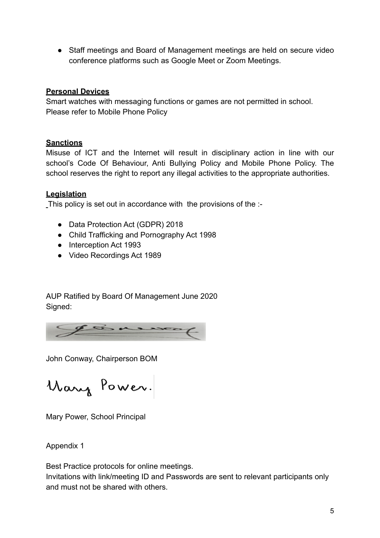● Staff meetings and Board of Management meetings are held on secure video conference platforms such as Google Meet or Zoom Meetings.

### **Personal Devices**

Smart watches with messaging functions or games are not permitted in school. Please refer to Mobile Phone Policy

## **Sanctions**

Misuse of ICT and the Internet will result in disciplinary action in line with our school's Code Of Behaviour, Anti Bullying Policy and Mobile Phone Policy. The school reserves the right to report any illegal activities to the appropriate authorities.

# **Legislation**

This policy is set out in accordance with the provisions of the :-

- Data Protection Act (GDPR) 2018
- Child Trafficking and Pornography Act 1998
- Interception Act 1993
- Video Recordings Act 1989

AUP Ratified by Board Of Management June 2020 Signed:



John Conway, Chairperson BOM

Mary Power.

Mary Power, School Principal

Appendix 1

Best Practice protocols for online meetings.

Invitations with link/meeting ID and Passwords are sent to relevant participants only and must not be shared with others.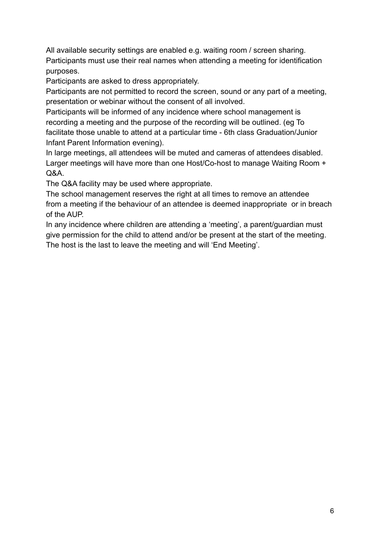All available security settings are enabled e.g. waiting room / screen sharing. Participants must use their real names when attending a meeting for identification purposes.

Participants are asked to dress appropriately.

Participants are not permitted to record the screen, sound or any part of a meeting, presentation or webinar without the consent of all involved.

Participants will be informed of any incidence where school management is recording a meeting and the purpose of the recording will be outlined. (eg To facilitate those unable to attend at a particular time - 6th class Graduation/Junior Infant Parent Information evening).

In large meetings, all attendees will be muted and cameras of attendees disabled. Larger meetings will have more than one Host/Co-host to manage Waiting Room + Q&A.

The Q&A facility may be used where appropriate.

The school management reserves the right at all times to remove an attendee from a meeting if the behaviour of an attendee is deemed inappropriate or in breach of the AUP.

In any incidence where children are attending a 'meeting', a parent/guardian must give permission for the child to attend and/or be present at the start of the meeting. The host is the last to leave the meeting and will 'End Meeting'.